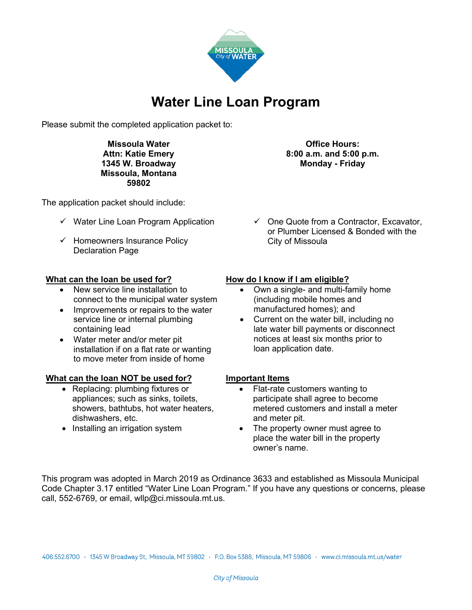

## **Water Line Loan Program**

Please submit the completed application packet to:

**Missoula Water Attn: Katie Emery 1345 W. Broadway Missoula, Montana 59802**

The application packet should include:

- $\checkmark$  Water Line Loan Program Application
- $\checkmark$  Homeowners Insurance Policy Declaration Page

### **What can the loan be used for? How do I know if I am eligible?**

- New service line installation to connect to the municipal water system
- Improvements or repairs to the water service line or internal plumbing containing lead
- Water meter and/or meter pit installation if on a flat rate or wanting to move meter from inside of home

## **What can the loan NOT be used for? Important Items**

- Replacing: plumbing fixtures or appliances; such as sinks, toilets, showers, bathtubs, hot water heaters, dishwashers, etc.
- Installing an irrigation system
- **Office Hours: 8:00 a.m. and 5:00 p.m. Monday - Friday**
- $\checkmark$  One Quote from a Contractor, Excavator, or Plumber Licensed & Bonded with the City of Missoula

- Own a single- and multi-family home (including mobile homes and manufactured homes); and
- Current on the water bill, including no late water bill payments or disconnect notices at least six months prior to loan application date.

- Flat-rate customers wanting to participate shall agree to become metered customers and install a meter and meter pit.
- The property owner must agree to place the water bill in the property owner's name.

This program was adopted in March 2019 as Ordinance 3633 and established as Missoula Municipal Code Chapter 3.17 entitled "Water Line Loan Program." If you have any questions or concerns, please call, 552-6769, or email, wllp@ci.missoula.mt.us.